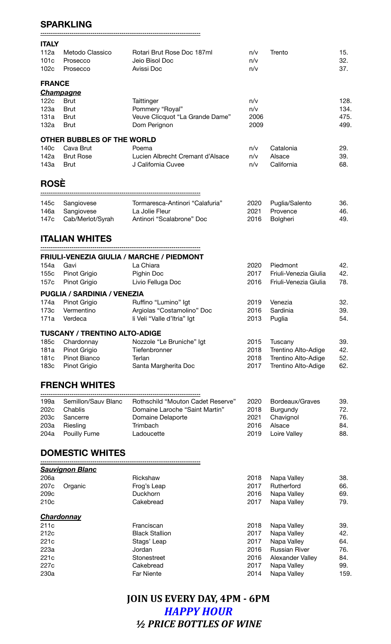## **SPARKLING**

**-----------------------------------------------------------------------------**

| <b>ITALY</b>         |                                         |                                                            |                   |                       |                   |
|----------------------|-----------------------------------------|------------------------------------------------------------|-------------------|-----------------------|-------------------|
| 112a<br>101c<br>102c | Metodo Classico<br>Prosecco<br>Prosecco | Rotari Brut Rose Doc 187ml<br>Jeio Bisol Doc<br>Avissi Doc | n/v<br>n/v<br>n/v | Trento                | 15.<br>32.<br>37. |
| <b>FRANCE</b>        |                                         |                                                            |                   |                       |                   |
|                      | <b>Champagne</b>                        |                                                            |                   |                       |                   |
| 122c                 | <b>Brut</b>                             | <b>Taittinger</b>                                          | n/v               |                       | 128.              |
| 123a                 | <b>Brut</b>                             | Pommery "Royal"                                            | n/v               |                       | 134.              |
| 131a                 | <b>Brut</b>                             | Veuve Clicquot "La Grande Dame"                            | 2006              |                       | 475.              |
| 132a                 | <b>Brut</b>                             | Dom Perignon                                               | 2009              |                       | 499.              |
|                      | OTHER BUBBLES OF THE WORLD              |                                                            |                   |                       |                   |
| 140 <sub>c</sub>     | Cava Brut                               | Poema                                                      | n/v               | Catalonia             | 29.               |
| 142a                 | <b>Brut Rose</b>                        | Lucien Albrecht Cremant d'Alsace                           | n/v               | Alsace                | 39.               |
| 143a                 | <b>Brut</b>                             | J California Cuvee                                         | n/v               | California            | 68.               |
| <b>ROSE</b>          |                                         |                                                            |                   |                       |                   |
| 145c                 | Sangiovese                              | Tormaresca-Antinori "Calafuria"                            | 2020              | Puglia/Salento        | 36.               |
| 146a                 | Sangiovese                              | La Jolie Fleur                                             | 2021              | Provence              | 46.               |
| 147c                 | Cab/Merlot/Syrah                        | Antinori "Scalabrone" Doc                                  | 2016              | Bolgheri              | 49.               |
|                      | <b>ITALIAN WHITES</b>                   |                                                            |                   |                       |                   |
|                      |                                         | <b>FRIULI-VENEZIA GIULIA / MARCHE / PIEDMONT</b>           |                   |                       |                   |
| 154a                 | Gavi                                    | La Chiara                                                  | 2020              | Piedmont              | 42.               |
| 155c                 | Pinot Grigio                            | Pighin Doc                                                 | 2017              | Friuli-Venezia Giulia | 42.               |
|                      |                                         |                                                            |                   |                       |                   |
| 157c                 | Pinot Grigio                            | Livio Felluga Doc                                          | 2016              | Friuli-Venezia Giulia | 78.               |
|                      | <b>PUGLIA / SARDINIA / VENEZIA</b>      |                                                            |                   |                       |                   |
| 174a                 | Pinot Grigio                            | Ruffino "Lumino" Igt                                       | 2019              | Venezia               | 32.               |
| 173c                 | Vermentino                              | Argiolas "Costamolino" Doc                                 | 2016              | Sardinia              | 39.               |
| 171a                 | Verdeca                                 | li Veli "Valle d'Itria" Igt                                | 2013              | Puglia                | 54.               |
|                      | <b>TUSCANY / TRENTINO ALTO-ADIGE</b>    |                                                            |                   |                       |                   |
| 185c                 | Chardonnay                              | Nozzole "Le Bruniche" Igt                                  | 2015              | Tuscany               | 39.               |
| 181a                 | Pinot Grigio                            | Tiefenbronner                                              | 2018              | Trentino Alto-Adige   | 42.               |
| 181c                 | Pinot Bianco                            | Terlan                                                     | 2018              | Trentino Alto-Adige   | 52.               |
| 183c                 | Pinot Grigio                            | Santa Margherita Doc                                       | 2017              | Trentino Alto-Adige   | 62.               |
|                      | <b>FRENCH WHITES</b>                    |                                                            |                   |                       |                   |
| 199a                 | Semillon/Sauv Blanc                     | Rothschild "Mouton Cadet Reserve"                          | 2020              | Bordeaux/Graves       | 39.               |
| 202c                 | Chablis                                 | Domaine Laroche "Saint Martin"                             | 2018              | Burgundy              | 72.               |
| 203c                 | Sancerre                                | Domaine Delaporte                                          | 2021              | Chavignol             | 76.               |
| 203a                 | Riesling                                | Trimbach                                                   | 2016              | Alsace                | 84.               |
| 204a                 | Pouilly Fume                            | Ladoucette                                                 | 2019              | Loire Valley          | 88.               |
|                      | <b>DOMESTIC WHITES</b>                  |                                                            |                   |                       |                   |
|                      | <u>Sauvignon Blanc</u>                  |                                                            |                   |                       |                   |
| 206a                 |                                         | Rickshaw                                                   | 2018              | Napa Valley           | 38.               |
| 207c                 | Organic                                 | Frog's Leap                                                | 2017              | Rutherford            | 66.               |
| 209c                 |                                         | Duckhorn                                                   | 2016              | Napa Valley           | 69.               |
| 210c                 |                                         | Cakebread                                                  | 2017              | Napa Valley           | 79.               |
|                      | <b>Chardonnay</b>                       |                                                            |                   |                       |                   |
| 211c                 |                                         | Franciscan                                                 | 2018              | Napa Valley           | 39.               |
| 212c                 |                                         | <b>Black Stallion</b>                                      | 2017              | Napa Valley           | 42.               |
| 221c                 |                                         | Stags' Leap                                                | 2017              | Napa Valley           | 64.               |
| 223a                 |                                         | Jordan                                                     | 2016              | <b>Russian River</b>  | 76.               |
| 221c                 |                                         | Stonestreet                                                | 2016              | Alexander Valley      | 84.               |

**JOIN US EVERY DAY, 4PM - 6PM** *HAPPY HOUR ½ PRICE BOTTLES OF WINE*

221c Stonestreet 2016 Alexander Valley 84. eration of the Cakebread Cakebread Cakebread 2017 Napa Valley 159.<br>230a - Par Niente Leonard 2014 Napa Valley 159.

Napa Valley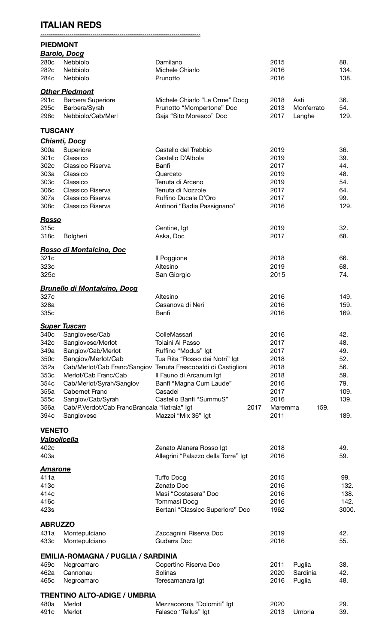## **ITALIAN REDS**

**-----------------------------------------------------------------------------**

|                        | <b>PIEDMONT</b>                               |                                     |              |            |             |
|------------------------|-----------------------------------------------|-------------------------------------|--------------|------------|-------------|
|                        | <b>Barolo, Docg</b>                           |                                     |              |            |             |
| 280c<br>282c           | Nebbiolo<br>Nebbiolo                          | Damilano<br>Michele Chiarlo         | 2015<br>2016 |            | 88.<br>134. |
| 284c                   | Nebbiolo                                      | Prunotto                            | 2016         |            | 138.        |
|                        |                                               |                                     |              |            |             |
|                        | <b>Other Piedmont</b>                         |                                     |              |            |             |
| 291c                   | <b>Barbera Superiore</b>                      | Michele Chiarlo "Le Orme" Docg      | 2018         | Asti       | 36.         |
| 295c                   | Barbera/Syrah                                 | Prunotto "Mompertone" Doc           | 2013         | Monferrato | 54.         |
| 298c                   | Nebbiolo/Cab/Merl                             | Gaja "Sito Moresco" Doc             | 2017         | Langhe     | 129.        |
| <b>TUSCANY</b>         |                                               |                                     |              |            |             |
|                        | <b>Chianti, Docq</b>                          |                                     |              |            |             |
| 300a                   | Superiore                                     | Castello del Trebbio                | 2019         |            | 36.         |
| 301c                   | Classico                                      | Castello D'Albola                   | 2019         |            | 39.         |
| 302c                   | Classico Riserva                              | Banfi                               | 2017         |            | 44.         |
| 303a                   | Classico                                      | Querceto                            | 2019         |            | 48.         |
| 303c                   | Classico                                      | Tenuta di Arceno                    | 2019         |            | 54.         |
| 306c                   | Classico Riserva                              | Tenuta di Nozzole                   | 2017         |            | 64.         |
| 307a                   | Classico Riserva                              | Ruffino Ducale D'Oro                | 2017         |            | 99.         |
| 308c                   | Classico Riserva                              | Antinori "Badia Passignano"         | 2016         |            | 129.        |
| <u>Rosso</u>           |                                               |                                     |              |            |             |
| 315c                   |                                               | Centine, Igt                        | 2019         |            | 32.         |
| 318c                   | Bolgheri                                      | Aska, Doc                           | 2017         |            | 68.         |
|                        | Rosso di Montalcino, Doc                      |                                     |              |            |             |
| 321c                   |                                               | Il Poggione                         | 2018         |            | 66.         |
| 323c                   |                                               | Altesino                            | 2019         |            | 68.         |
| 325c                   |                                               | San Giorgio                         | 2015         |            | 74.         |
|                        |                                               |                                     |              |            |             |
|                        | <b>Brunello di Montalcino, Docg</b>           |                                     |              |            |             |
| 327c                   |                                               | Altesino                            | 2016         |            | 149.        |
| 328a                   |                                               | Casanova di Neri                    | 2016         |            | 159.        |
| 335c                   |                                               | Banfi                               | 2016         |            | 169.        |
|                        | <b>Super Tuscan</b>                           |                                     |              |            |             |
| 340c                   | Sangiovese/Cab                                | ColleMassari                        | 2016         |            | 42.         |
| 342c                   | Sangiovese/Merlot                             | <b>Tolaini Al Passo</b>             | 2017         |            | 48.         |
| 349a                   | Sangiov/Cab/Merlot                            | Ruffino "Modus" Igt                 | 2017         |            | 49.         |
| 350c                   | Sangiov/Merlot/Cab                            | Tua Rita "Rosso dei Notri" Igt      | 2018         |            | 52.         |
| 352a                   | Cab/Merlot/Cab Franc/Sangiov                  | Tenuta Frescobaldi di Castiglioni   | 2018         |            | 56.         |
| 353c                   | Merlot/Cab Franc/Cab                          | Il Fauno di Arcanum Igt             | 2018         |            | 59.         |
| 354c                   | Cab/Merlot/Syrah/Sangiov                      | Banfi "Magna Cum Laude"             | 2016         |            | 79.         |
| 355a                   | <b>Cabernet Franc</b>                         | Casadei                             | 2017         |            | 109.        |
| 355c                   | Sangiov/Cab/Syrah                             | Castello Banfi "SummuS"             | 2016         |            | 139.        |
| 356a                   | Cab/P.Verdot/Cab FrancBrancaia "Ilatraia" Igt | 2017                                | Maremma      | 159.       |             |
| 394c                   | Sangiovese                                    | Mazzei "Mix 36" Igt                 | 2011         |            | 189.        |
| <b>VENETO</b>          |                                               |                                     |              |            |             |
|                        | <b>Valpolicella</b>                           |                                     |              |            |             |
| 402c                   |                                               | Zenato Alanera Rosso Igt            | 2018         |            | 49.         |
| 403a                   |                                               | Allegrini "Palazzo della Torre" Igt | 2016         |            | 59.         |
| <u>Amarone</u>         |                                               |                                     |              |            |             |
| 411a                   |                                               | <b>Tuffo Docg</b>                   | 2015         |            | 99.         |
| 413c                   |                                               | Zenato Doc                          | 2016         |            | 132.        |
| 414c                   |                                               | Masi "Costasera" Doc                | 2016         |            | 138.        |
| 416c                   |                                               | Tommasi Docg                        | 2016         |            | 142.        |
| 423s                   |                                               | Bertani "Classico Superiore" Doc    | 1962         |            | 3000.       |
|                        |                                               |                                     |              |            |             |
| <b>ABRUZZO</b><br>431a | Montepulciano                                 | Zaccagnini Riserva Doc              | 2019         |            | 42.         |
| 433c                   | Montepulciano                                 | Gudarra Doc                         | 2016         |            | 55.         |
|                        |                                               |                                     |              |            |             |
|                        | <b>EMILIA-ROMAGNA / PUGLIA / SARDINIA</b>     |                                     |              |            |             |
| 459c                   | Negroamaro                                    | Copertino Riserva Doc               | 2011         | Puglia     | 38.         |
| 462a                   | Cannonau                                      | Solinas                             | 2020         | Sardinia   | 42.         |
| 465c                   | Negroamaro                                    | Teresamanara Igt                    | 2016         | Puglia     | 48.         |

| <b>TRENTINO ALTO-ADIGE / UMBRIA</b> |             |                            |      |             |     |  |
|-------------------------------------|-------------|----------------------------|------|-------------|-----|--|
|                                     | 480a Merlot | Mezzacorona "Dolomiti" Igt | 2020 |             | 29. |  |
|                                     | 491c Merlot | Falesco "Tellus" lgt       |      | 2013 Umbria | 39. |  |